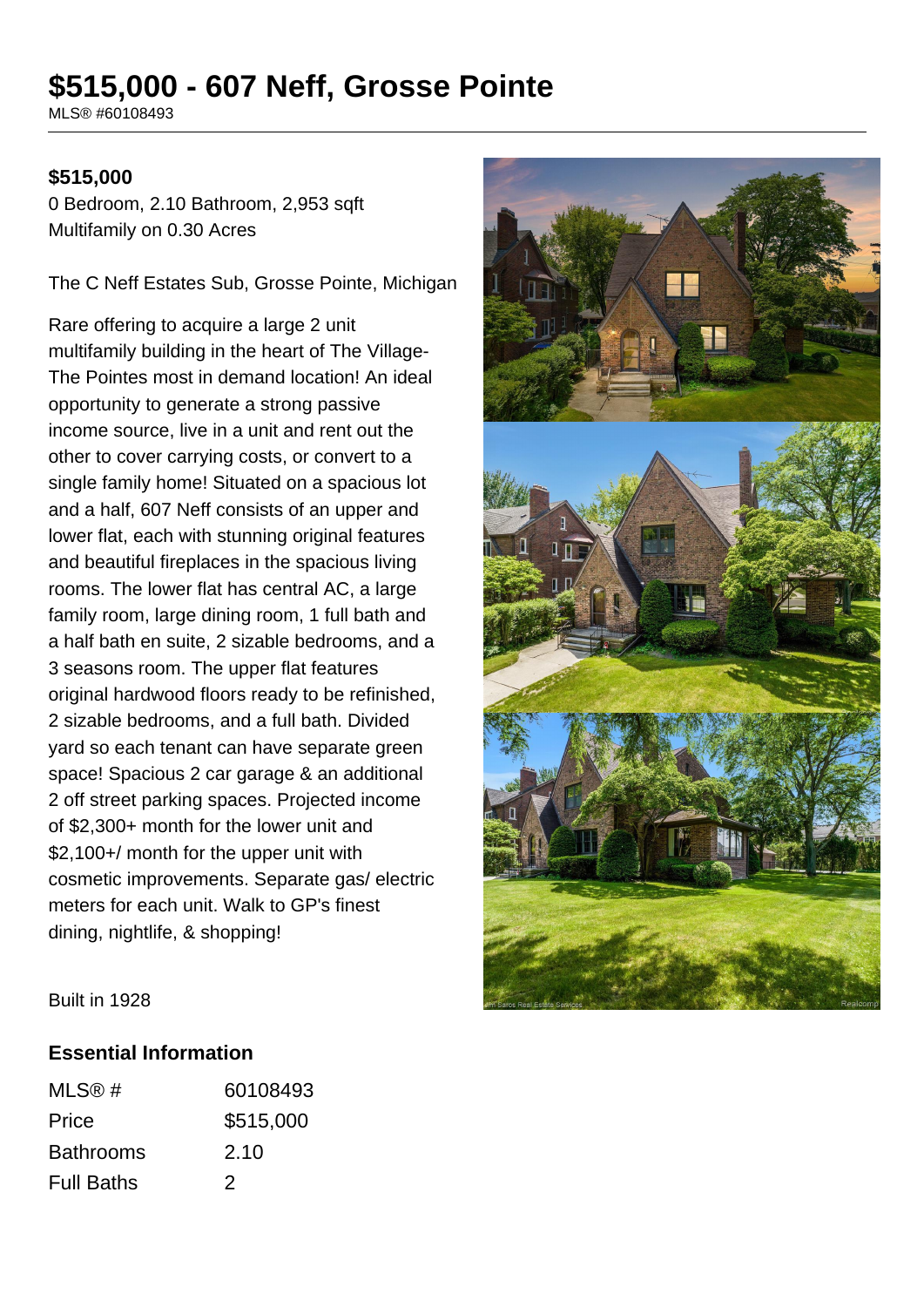# **\$515,000 - 607 Neff, Grosse Pointe**

MLS® #60108493

#### **\$515,000**

0 Bedroom, 2.10 Bathroom, 2,953 sqft Multifamily on 0.30 Acres

The C Neff Estates Sub, Grosse Pointe, Michigan

Rare offering to acquire a large 2 unit multifamily building in the heart of The Village-The Pointes most in demand location! An ideal opportunity to generate a strong passive income source, live in a unit and rent out the other to cover carrying costs, or convert to a single family home! Situated on a spacious lot and a half, 607 Neff consists of an upper and lower flat, each with stunning original features and beautiful fireplaces in the spacious living rooms. The lower flat has central AC, a large family room, large dining room, 1 full bath and a half bath en suite, 2 sizable bedrooms, and a 3 seasons room. The upper flat features original hardwood floors ready to be refinished, 2 sizable bedrooms, and a full bath. Divided yard so each tenant can have separate green space! Spacious 2 car garage & an additional 2 off street parking spaces. Projected income of \$2,300+ month for the lower unit and \$2,100+/ month for the upper unit with cosmetic improvements. Separate gas/ electric meters for each unit. Walk to GP's finest dining, nightlife, & shopping!



Built in 1928

#### **Essential Information**

| MLS@#             | 60108493  |
|-------------------|-----------|
| Price             | \$515,000 |
| <b>Bathrooms</b>  | 2.10      |
| <b>Full Baths</b> | 2         |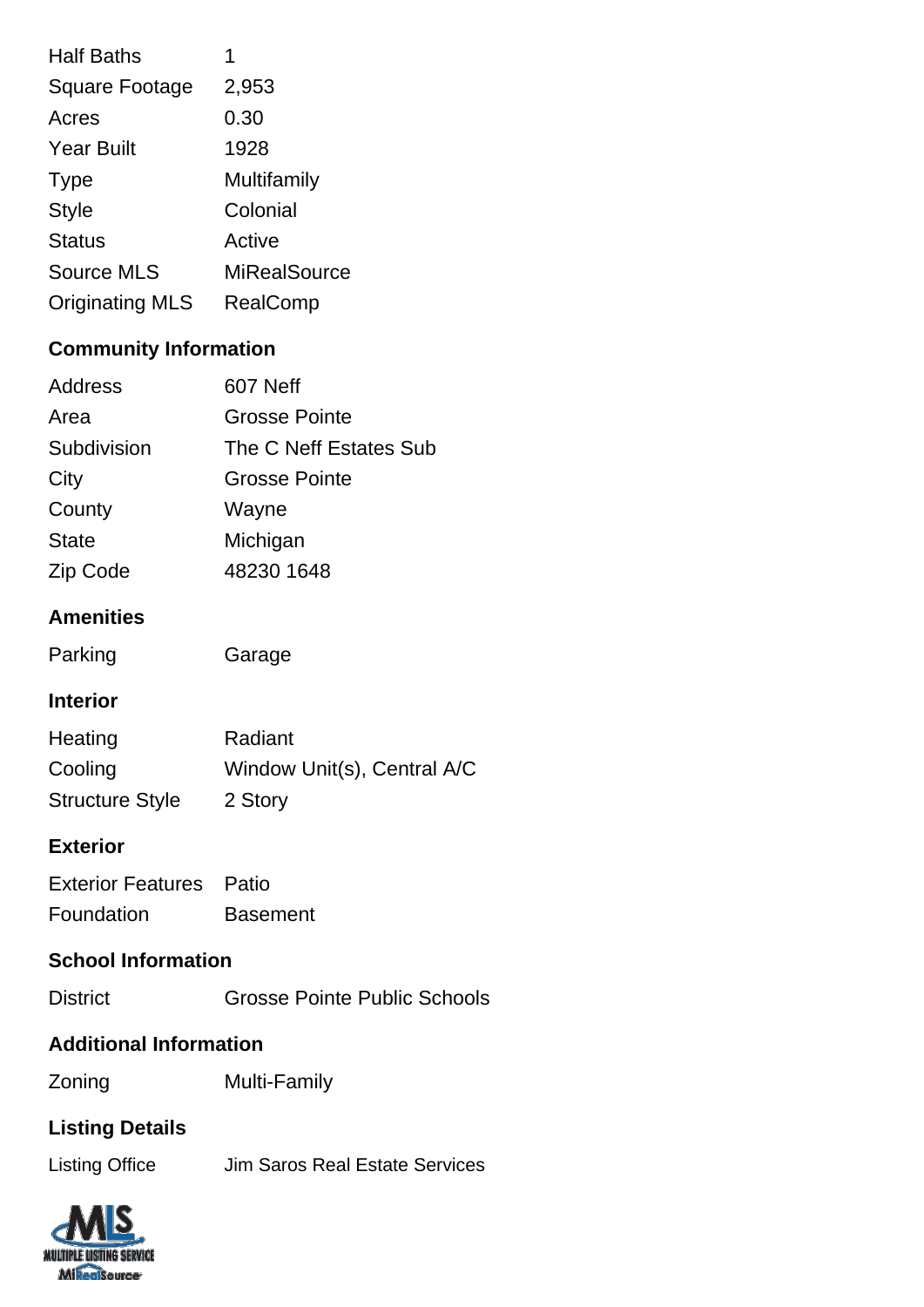| <b>Half Baths</b>      | 1            |
|------------------------|--------------|
| <b>Square Footage</b>  | 2,953        |
| Acres                  | 0.30         |
| <b>Year Built</b>      | 1928         |
| <b>Type</b>            | Multifamily  |
| <b>Style</b>           | Colonial     |
| <b>Status</b>          | Active       |
| <b>Source MLS</b>      | MiRealSource |
| <b>Originating MLS</b> | RealComp     |

# **Community Information**

| <b>Grosse Pointe</b>   |
|------------------------|
|                        |
| The C Neff Estates Sub |
| <b>Grosse Pointe</b>   |
|                        |
|                        |
| 48230 1648             |
|                        |

# **Amenities**

| Parking | Garage |
|---------|--------|
|         |        |

### **Interior**

| Heating                | Radiant                     |
|------------------------|-----------------------------|
| Cooling                | Window Unit(s), Central A/C |
| <b>Structure Style</b> | 2 Story                     |

## **Exterior**

| <b>Exterior Features</b> Patio |                 |
|--------------------------------|-----------------|
| Foundation                     | <b>Basement</b> |

### **School Information**

| <b>District</b> | <b>Grosse Pointe Public Schools</b> |
|-----------------|-------------------------------------|
|                 |                                     |

#### **Additional Information**

Zoning Multi-Family

# **Listing Details**

| Listing Office | Jim Saros Real Estate Services |
|----------------|--------------------------------|
|----------------|--------------------------------|